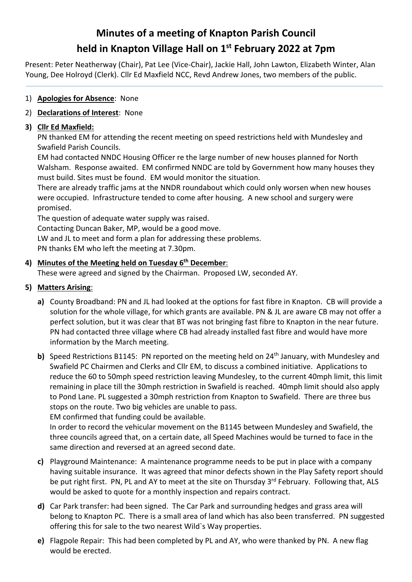# **Minutes of a meeting of Knapton Parish Council held in Knapton Village Hall on 1st February 2022 at 7pm**

Present: Peter Neatherway (Chair), Pat Lee (Vice-Chair), Jackie Hall, John Lawton, Elizabeth Winter, Alan Young, Dee Holroyd (Clerk). Cllr Ed Maxfield NCC, Revd Andrew Jones, two members of the public.

## 1) **Apologies for Absence**: None

# 2) **Declarations of Interest**: None

# **3) Cllr Ed Maxfield:**

PN thanked EM for attending the recent meeting on speed restrictions held with Mundesley and Swafield Parish Councils.

EM had contacted NNDC Housing Officer re the large number of new houses planned for North Walsham. Response awaited. EM confirmed NNDC are told by Government how many houses they must build. Sites must be found. EM would monitor the situation.

There are already traffic jams at the NNDR roundabout which could only worsen when new houses were occupied. Infrastructure tended to come after housing. A new school and surgery were promised.

The question of adequate water supply was raised.

Contacting Duncan Baker, MP, would be a good move.

LW and JL to meet and form a plan for addressing these problems.

PN thanks EM who left the meeting at 7.30pm.

# **4) Minutes of the Meeting held on Tuesday 6th December**:

These were agreed and signed by the Chairman. Proposed LW, seconded AY.

# **5) Matters Arising**:

- **a)** County Broadband: PN and JL had looked at the options for fast fibre in Knapton. CB will provide a solution for the whole village, for which grants are available. PN & JL are aware CB may not offer a perfect solution, but it was clear that BT was not bringing fast fibre to Knapton in the near future. PN had contacted three village where CB had already installed fast fibre and would have more information by the March meeting.
- **b)** Speed Restrictions B1145: PN reported on the meeting held on 24<sup>th</sup> January, with Mundesley and Swafield PC Chairmen and Clerks and Cllr EM, to discuss a combined initiative. Applications to reduce the 60 to 50mph speed restriction leaving Mundesley, to the current 40mph limit, this limit remaining in place till the 30mph restriction in Swafield is reached. 40mph limit should also apply to Pond Lane. PL suggested a 30mph restriction from Knapton to Swafield. There are three bus stops on the route. Two big vehicles are unable to pass.

EM confirmed that funding could be available.

In order to record the vehicular movement on the B1145 between Mundesley and Swafield, the three councils agreed that, on a certain date, all Speed Machines would be turned to face in the same direction and reversed at an agreed second date.

- **c)** Playground Maintenance: A maintenance programme needs to be put in place with a company having suitable insurance. It was agreed that minor defects shown in the Play Safety report should be put right first. PN, PL and AY to meet at the site on Thursday 3<sup>rd</sup> February. Following that, ALS would be asked to quote for a monthly inspection and repairs contract.
- **d)** Car Park transfer: had been signed. The Car Park and surrounding hedges and grass area will belong to Knapton PC. There is a small area of land which has also been transferred. PN suggested offering this for sale to the two nearest Wild`s Way properties.
- **e)** Flagpole Repair: This had been completed by PL and AY, who were thanked by PN. A new flag would be erected.